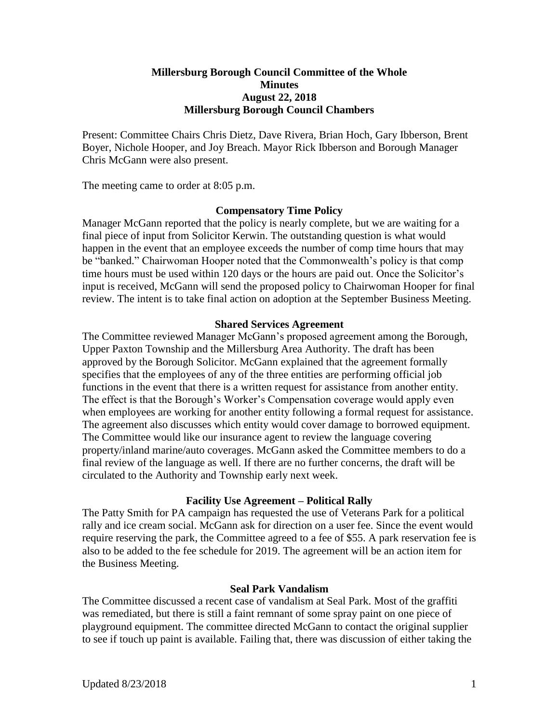# **Millersburg Borough Council Committee of the Whole Minutes August 22, 2018 Millersburg Borough Council Chambers**

Present: Committee Chairs Chris Dietz, Dave Rivera, Brian Hoch, Gary Ibberson, Brent Boyer, Nichole Hooper, and Joy Breach. Mayor Rick Ibberson and Borough Manager Chris McGann were also present.

The meeting came to order at 8:05 p.m.

# **Compensatory Time Policy**

Manager McGann reported that the policy is nearly complete, but we are waiting for a final piece of input from Solicitor Kerwin. The outstanding question is what would happen in the event that an employee exceeds the number of comp time hours that may be "banked." Chairwoman Hooper noted that the Commonwealth's policy is that comp time hours must be used within 120 days or the hours are paid out. Once the Solicitor's input is received, McGann will send the proposed policy to Chairwoman Hooper for final review. The intent is to take final action on adoption at the September Business Meeting.

### **Shared Services Agreement**

The Committee reviewed Manager McGann's proposed agreement among the Borough, Upper Paxton Township and the Millersburg Area Authority. The draft has been approved by the Borough Solicitor. McGann explained that the agreement formally specifies that the employees of any of the three entities are performing official job functions in the event that there is a written request for assistance from another entity. The effect is that the Borough's Worker's Compensation coverage would apply even when employees are working for another entity following a formal request for assistance. The agreement also discusses which entity would cover damage to borrowed equipment. The Committee would like our insurance agent to review the language covering property/inland marine/auto coverages. McGann asked the Committee members to do a final review of the language as well. If there are no further concerns, the draft will be circulated to the Authority and Township early next week.

# **Facility Use Agreement – Political Rally**

The Patty Smith for PA campaign has requested the use of Veterans Park for a political rally and ice cream social. McGann ask for direction on a user fee. Since the event would require reserving the park, the Committee agreed to a fee of \$55. A park reservation fee is also to be added to the fee schedule for 2019. The agreement will be an action item for the Business Meeting.

# **Seal Park Vandalism**

The Committee discussed a recent case of vandalism at Seal Park. Most of the graffiti was remediated, but there is still a faint remnant of some spray paint on one piece of playground equipment. The committee directed McGann to contact the original supplier to see if touch up paint is available. Failing that, there was discussion of either taking the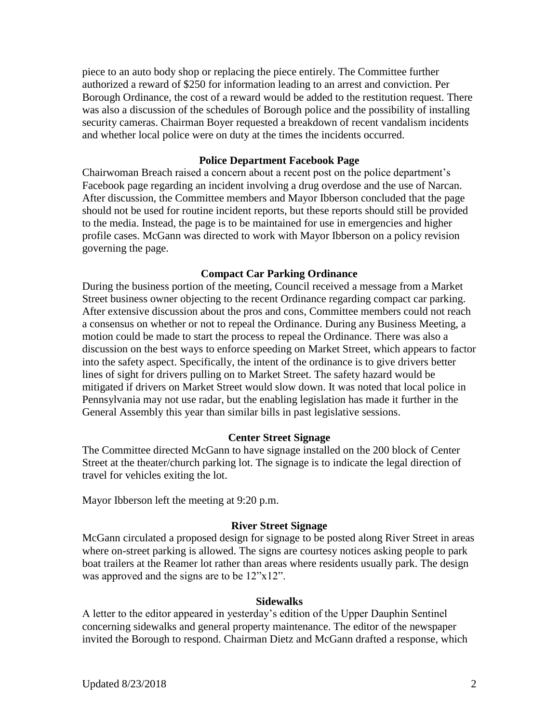piece to an auto body shop or replacing the piece entirely. The Committee further authorized a reward of \$250 for information leading to an arrest and conviction. Per Borough Ordinance, the cost of a reward would be added to the restitution request. There was also a discussion of the schedules of Borough police and the possibility of installing security cameras. Chairman Boyer requested a breakdown of recent vandalism incidents and whether local police were on duty at the times the incidents occurred.

### **Police Department Facebook Page**

Chairwoman Breach raised a concern about a recent post on the police department's Facebook page regarding an incident involving a drug overdose and the use of Narcan. After discussion, the Committee members and Mayor Ibberson concluded that the page should not be used for routine incident reports, but these reports should still be provided to the media. Instead, the page is to be maintained for use in emergencies and higher profile cases. McGann was directed to work with Mayor Ibberson on a policy revision governing the page.

### **Compact Car Parking Ordinance**

During the business portion of the meeting, Council received a message from a Market Street business owner objecting to the recent Ordinance regarding compact car parking. After extensive discussion about the pros and cons, Committee members could not reach a consensus on whether or not to repeal the Ordinance. During any Business Meeting, a motion could be made to start the process to repeal the Ordinance. There was also a discussion on the best ways to enforce speeding on Market Street, which appears to factor into the safety aspect. Specifically, the intent of the ordinance is to give drivers better lines of sight for drivers pulling on to Market Street. The safety hazard would be mitigated if drivers on Market Street would slow down. It was noted that local police in Pennsylvania may not use radar, but the enabling legislation has made it further in the General Assembly this year than similar bills in past legislative sessions.

#### **Center Street Signage**

The Committee directed McGann to have signage installed on the 200 block of Center Street at the theater/church parking lot. The signage is to indicate the legal direction of travel for vehicles exiting the lot.

Mayor Ibberson left the meeting at 9:20 p.m.

#### **River Street Signage**

McGann circulated a proposed design for signage to be posted along River Street in areas where on-street parking is allowed. The signs are courtesy notices asking people to park boat trailers at the Reamer lot rather than areas where residents usually park. The design was approved and the signs are to be  $12"x12"$ .

#### **Sidewalks**

A letter to the editor appeared in yesterday's edition of the Upper Dauphin Sentinel concerning sidewalks and general property maintenance. The editor of the newspaper invited the Borough to respond. Chairman Dietz and McGann drafted a response, which